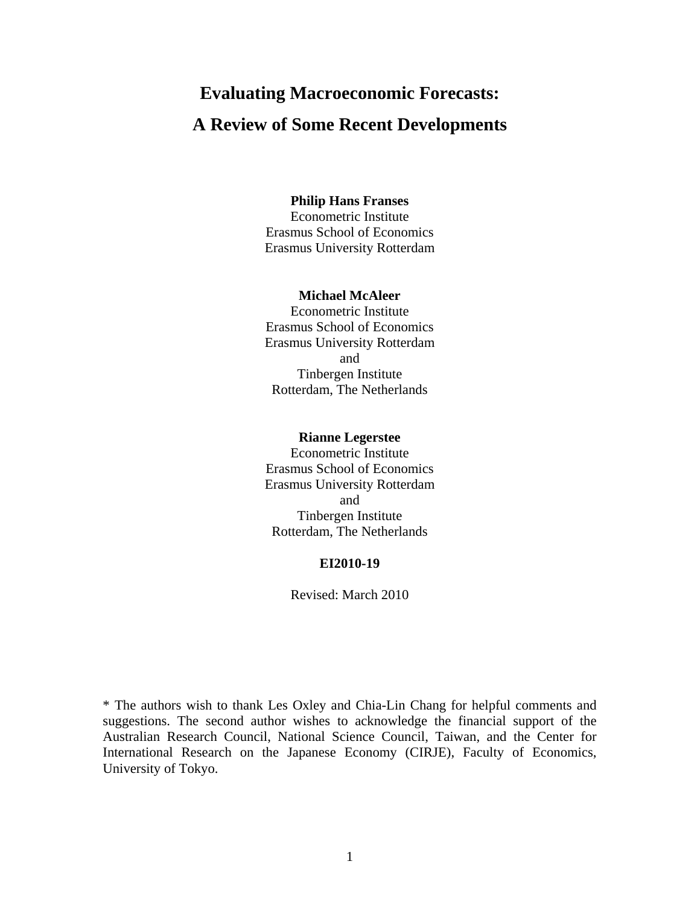# **Evaluating Macroeconomic Forecasts: A Review of Some Recent Developments**

### **Philip Hans Franses**

Econometric Institute Erasmus School of Economics Erasmus University Rotterdam

### **Michael McAleer**

Econometric Institute Erasmus School of Economics Erasmus University Rotterdam and Tinbergen Institute Rotterdam, The Netherlands

#### **Rianne Legerstee**

Econometric Institute Erasmus School of Economics Erasmus University Rotterdam and Tinbergen Institute Rotterdam, The Netherlands

#### **EI2010-19**

Revised: March 2010

\* The authors wish to thank Les Oxley and Chia-Lin Chang for helpful comments and suggestions. The second author wishes to acknowledge the financial support of the Australian Research Council, National Science Council, Taiwan, and the Center for International Research on the Japanese Economy (CIRJE), Faculty of Economics, University of Tokyo.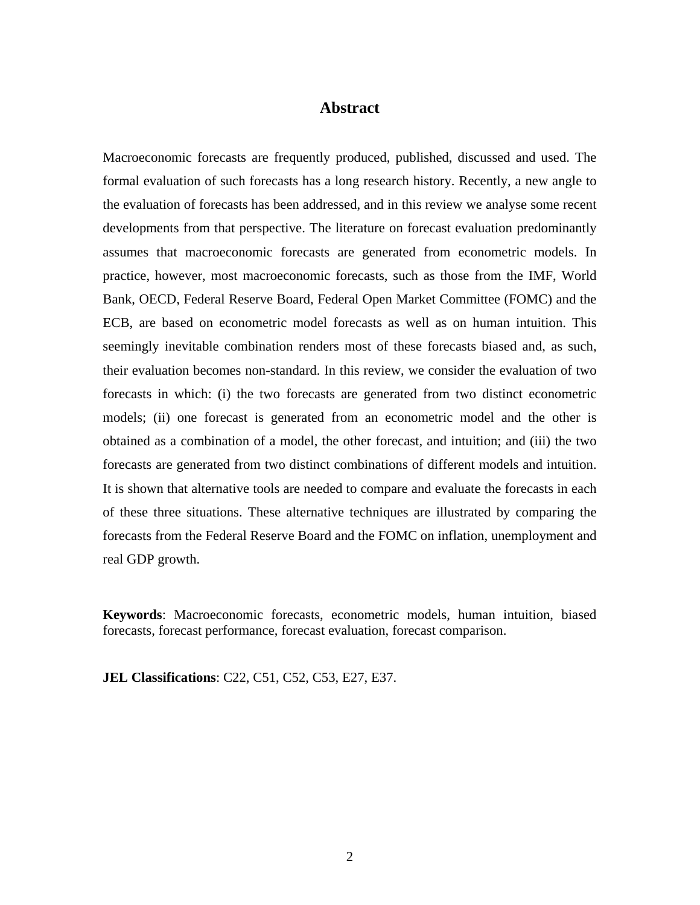### **Abstract**

Macroeconomic forecasts are frequently produced, published, discussed and used. The formal evaluation of such forecasts has a long research history. Recently, a new angle to the evaluation of forecasts has been addressed, and in this review we analyse some recent developments from that perspective. The literature on forecast evaluation predominantly assumes that macroeconomic forecasts are generated from econometric models. In practice, however, most macroeconomic forecasts, such as those from the IMF, World Bank, OECD, Federal Reserve Board, Federal Open Market Committee (FOMC) and the ECB, are based on econometric model forecasts as well as on human intuition. This seemingly inevitable combination renders most of these forecasts biased and, as such, their evaluation becomes non-standard. In this review, we consider the evaluation of two forecasts in which: (i) the two forecasts are generated from two distinct econometric models; (ii) one forecast is generated from an econometric model and the other is obtained as a combination of a model, the other forecast, and intuition; and (iii) the two forecasts are generated from two distinct combinations of different models and intuition. It is shown that alternative tools are needed to compare and evaluate the forecasts in each of these three situations. These alternative techniques are illustrated by comparing the forecasts from the Federal Reserve Board and the FOMC on inflation, unemployment and real GDP growth.

**Keywords**: Macroeconomic forecasts, econometric models, human intuition, biased forecasts, forecast performance, forecast evaluation, forecast comparison.

**JEL Classifications**: C22, C51, C52, C53, E27, E37.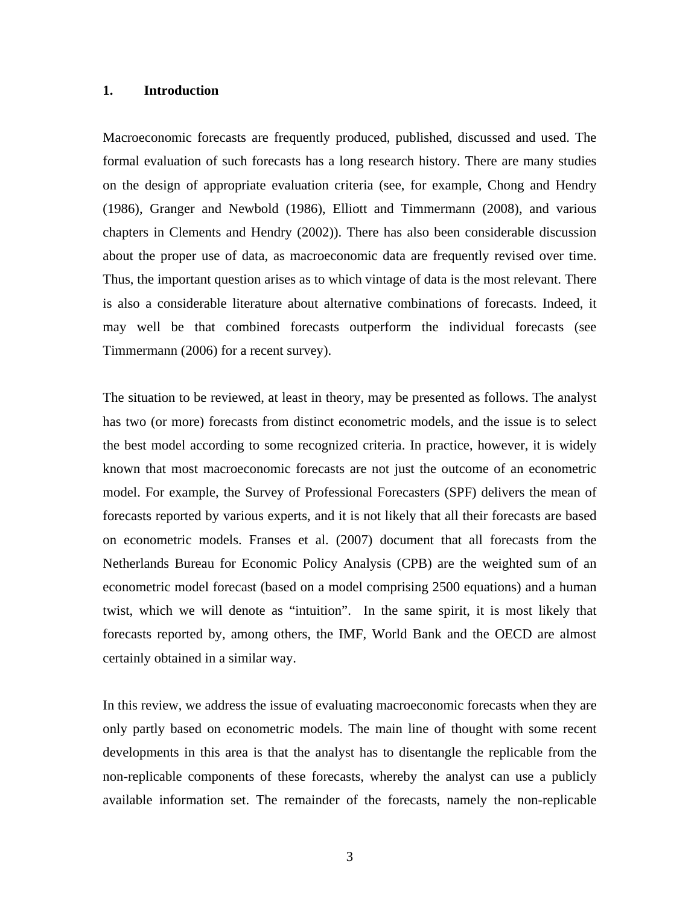### **1. Introduction**

Macroeconomic forecasts are frequently produced, published, discussed and used. The formal evaluation of such forecasts has a long research history. There are many studies on the design of appropriate evaluation criteria (see, for example, Chong and Hendry (1986), Granger and Newbold (1986), Elliott and Timmermann (2008), and various chapters in Clements and Hendry (2002)). There has also been considerable discussion about the proper use of data, as macroeconomic data are frequently revised over time. Thus, the important question arises as to which vintage of data is the most relevant. There is also a considerable literature about alternative combinations of forecasts. Indeed, it may well be that combined forecasts outperform the individual forecasts (see Timmermann (2006) for a recent survey).

The situation to be reviewed, at least in theory, may be presented as follows. The analyst has two (or more) forecasts from distinct econometric models, and the issue is to select the best model according to some recognized criteria. In practice, however, it is widely known that most macroeconomic forecasts are not just the outcome of an econometric model. For example, the Survey of Professional Forecasters (SPF) delivers the mean of forecasts reported by various experts, and it is not likely that all their forecasts are based on econometric models. Franses et al. (2007) document that all forecasts from the Netherlands Bureau for Economic Policy Analysis (CPB) are the weighted sum of an econometric model forecast (based on a model comprising 2500 equations) and a human twist, which we will denote as "intuition". In the same spirit, it is most likely that forecasts reported by, among others, the IMF, World Bank and the OECD are almost certainly obtained in a similar way.

In this review, we address the issue of evaluating macroeconomic forecasts when they are only partly based on econometric models. The main line of thought with some recent developments in this area is that the analyst has to disentangle the replicable from the non-replicable components of these forecasts, whereby the analyst can use a publicly available information set. The remainder of the forecasts, namely the non-replicable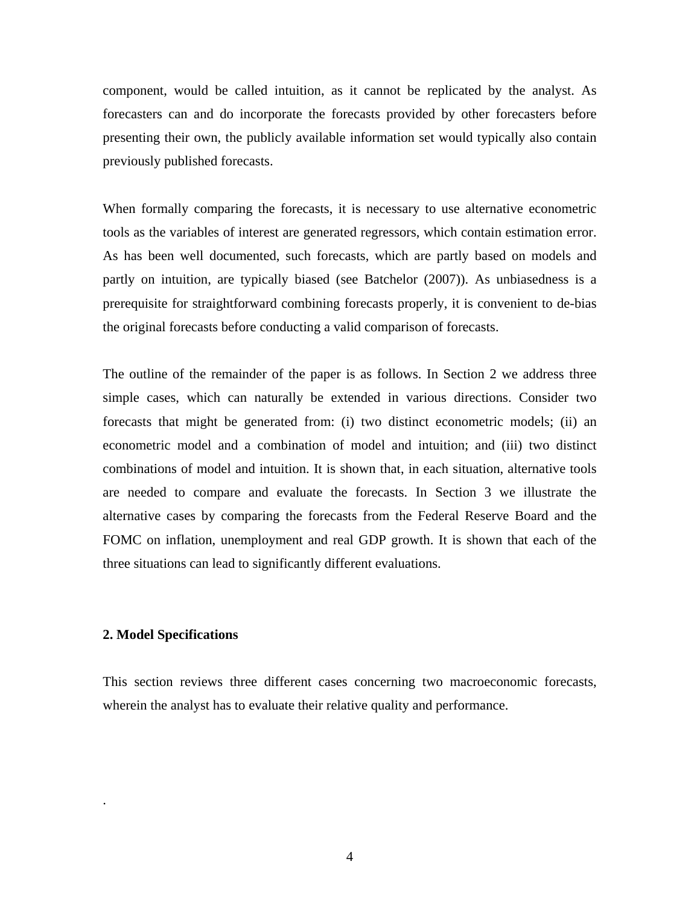component, would be called intuition, as it cannot be replicated by the analyst. As forecasters can and do incorporate the forecasts provided by other forecasters before presenting their own, the publicly available information set would typically also contain previously published forecasts.

When formally comparing the forecasts, it is necessary to use alternative econometric tools as the variables of interest are generated regressors, which contain estimation error. As has been well documented, such forecasts, which are partly based on models and partly on intuition, are typically biased (see Batchelor (2007)). As unbiasedness is a prerequisite for straightforward combining forecasts properly, it is convenient to de-bias the original forecasts before conducting a valid comparison of forecasts.

The outline of the remainder of the paper is as follows. In Section 2 we address three simple cases, which can naturally be extended in various directions. Consider two forecasts that might be generated from: (i) two distinct econometric models; (ii) an econometric model and a combination of model and intuition; and (iii) two distinct combinations of model and intuition. It is shown that, in each situation, alternative tools are needed to compare and evaluate the forecasts. In Section 3 we illustrate the alternative cases by comparing the forecasts from the Federal Reserve Board and the FOMC on inflation, unemployment and real GDP growth. It is shown that each of the three situations can lead to significantly different evaluations.

### **2. Model Specifications**

.

This section reviews three different cases concerning two macroeconomic forecasts, wherein the analyst has to evaluate their relative quality and performance.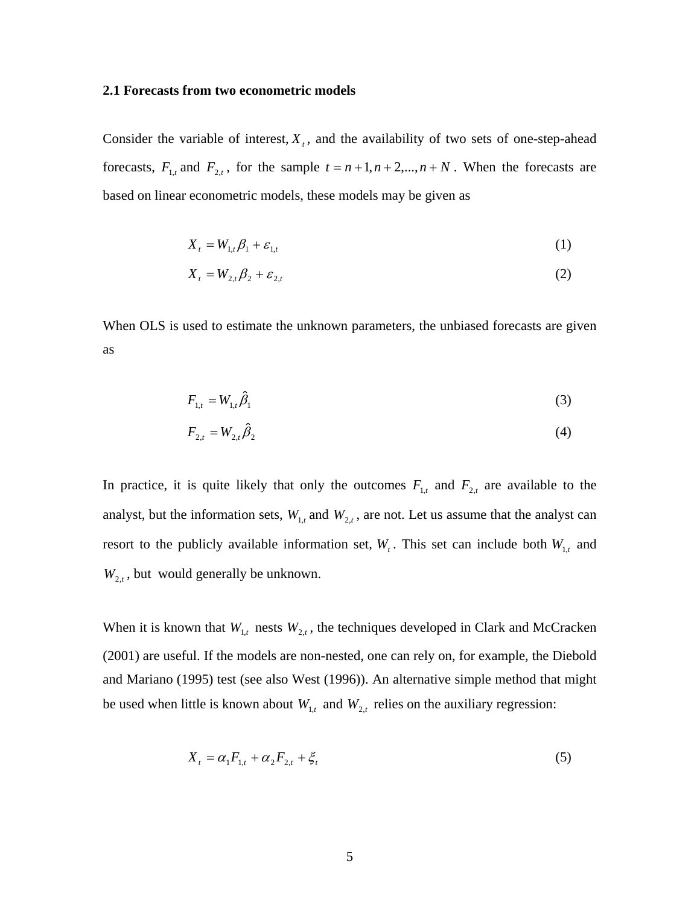#### **2.1 Forecasts from two econometric models**

Consider the variable of interest,  $X_t$ , and the availability of two sets of one-step-ahead forecasts,  $F_{1,t}$  and  $F_{2,t}$ , for the sample  $t = n+1, n+2,...,n+N$ . When the forecasts are based on linear econometric models, these models may be given as

$$
X_t = W_{1,t} \beta_1 + \varepsilon_{1,t} \tag{1}
$$

$$
X_t = W_{2,t} \beta_2 + \varepsilon_{2,t} \tag{2}
$$

When OLS is used to estimate the unknown parameters, the unbiased forecasts are given as

$$
F_{1,t} = W_{1,t} \hat{\beta}_1 \tag{3}
$$

$$
F_{2,t} = W_{2,t} \hat{\beta}_2 \tag{4}
$$

In practice, it is quite likely that only the outcomes  $F_{1,t}$  and  $F_{2,t}$  are available to the analyst, but the information sets,  $W_{1,t}$  and  $W_{2,t}$ , are not. Let us assume that the analyst can resort to the publicly available information set,  $W_t$ . This set can include both  $W_{1,t}$  and  $W_{2,t}$ , but would generally be unknown.

When it is known that  $W_{1,t}$  nests  $W_{2,t}$ , the techniques developed in Clark and McCracken (2001) are useful. If the models are non-nested, one can rely on, for example, the Diebold and Mariano (1995) test (see also West (1996)). An alternative simple method that might be used when little is known about  $W_{1,t}$  and  $W_{2,t}$  relies on the auxiliary regression:

$$
X_t = \alpha_1 F_{1,t} + \alpha_2 F_{2,t} + \xi_t \tag{5}
$$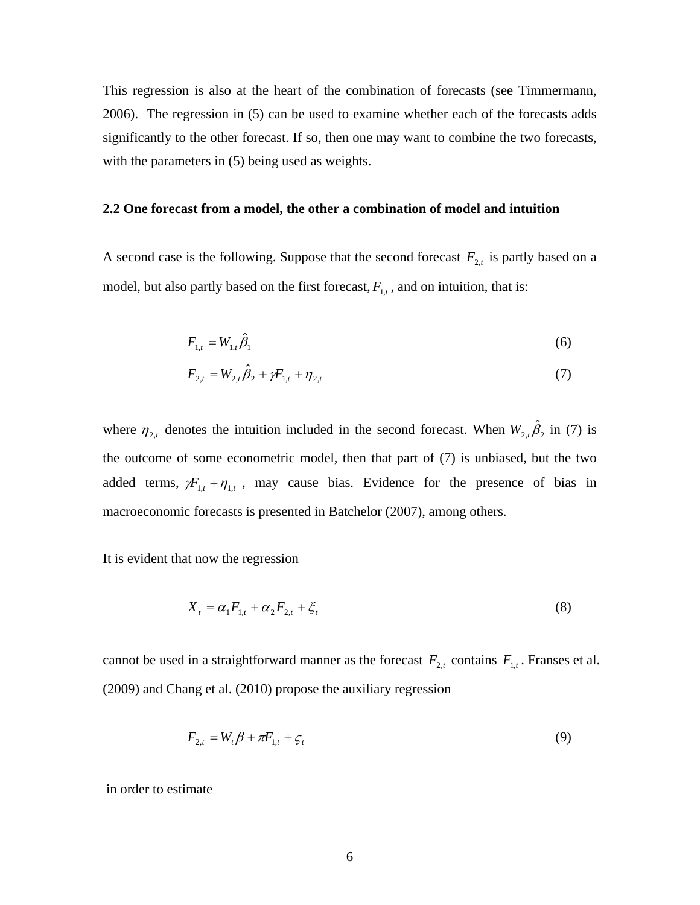This regression is also at the heart of the combination of forecasts (see Timmermann, 2006). The regression in (5) can be used to examine whether each of the forecasts adds significantly to the other forecast. If so, then one may want to combine the two forecasts, with the parameters in  $(5)$  being used as weights.

#### **2.2 One forecast from a model, the other a combination of model and intuition**

A second case is the following. Suppose that the second forecast  $F_{2,t}$  is partly based on a model, but also partly based on the first forecast,  $F_{1,t}$ , and on intuition, that is:

$$
F_{1,t} = W_{1,t} \hat{\beta}_1 \tag{6}
$$

$$
F_{2,t} = W_{2,t} \hat{\beta}_2 + \gamma F_{1,t} + \eta_{2,t} \tag{7}
$$

where  $\eta_{2,t}$  denotes the intuition included in the second forecast. When  $W_{2,t} \hat{\beta}_2$  in (7) is the outcome of some econometric model, then that part of (7) is unbiased, but the two added terms,  $\gamma F_{1,t} + \eta_{1,t}$ , may cause bias. Evidence for the presence of bias in macroeconomic forecasts is presented in Batchelor (2007), among others.

It is evident that now the regression

$$
X_t = \alpha_1 F_{1,t} + \alpha_2 F_{2,t} + \xi_t \tag{8}
$$

cannot be used in a straightforward manner as the forecast  $F_{2,t}$  contains  $F_{1,t}$ . Franses et al. (2009) and Chang et al. (2010) propose the auxiliary regression

$$
F_{2,t} = W_t \beta + \pi F_{1,t} + \varsigma_t \tag{9}
$$

in order to estimate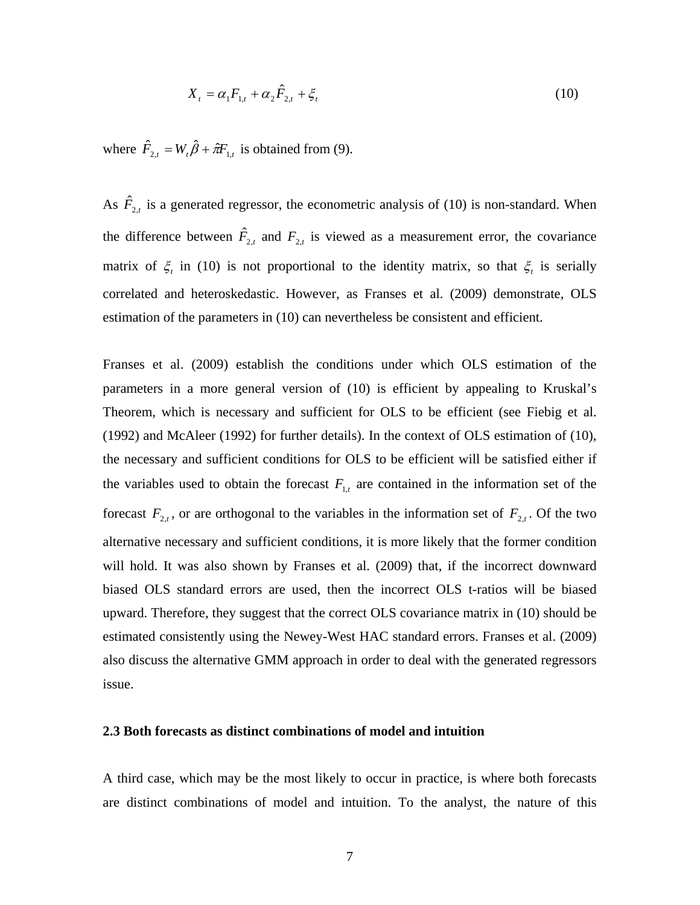$$
X_{t} = \alpha_{1} F_{1,t} + \alpha_{2} \hat{F}_{2,t} + \xi_{t}
$$
\n(10)

where  $\hat{F}_{2,t} = W_t \hat{\beta} + \hat{\pi} F_{1,t}$  is obtained from (9).

As  $\hat{F}_{2,t}$  is a generated regressor, the econometric analysis of (10) is non-standard. When the difference between  $\hat{F}_{2,t}$  and  $F_{2,t}$  is viewed as a measurement error, the covariance matrix of  $\xi$  in (10) is not proportional to the identity matrix, so that  $\xi$  is serially correlated and heteroskedastic. However, as Franses et al. (2009) demonstrate, OLS estimation of the parameters in (10) can nevertheless be consistent and efficient.

Franses et al. (2009) establish the conditions under which OLS estimation of the parameters in a more general version of (10) is efficient by appealing to Kruskal's Theorem, which is necessary and sufficient for OLS to be efficient (see Fiebig et al. (1992) and McAleer (1992) for further details). In the context of OLS estimation of (10), the necessary and sufficient conditions for OLS to be efficient will be satisfied either if the variables used to obtain the forecast  $F_{1,t}$  are contained in the information set of the forecast  $F_{2,t}$ , or are orthogonal to the variables in the information set of  $F_{2,t}$ . Of the two alternative necessary and sufficient conditions, it is more likely that the former condition will hold. It was also shown by Franses et al. (2009) that, if the incorrect downward biased OLS standard errors are used, then the incorrect OLS t-ratios will be biased upward. Therefore, they suggest that the correct OLS covariance matrix in (10) should be estimated consistently using the Newey-West HAC standard errors. Franses et al. (2009) also discuss the alternative GMM approach in order to deal with the generated regressors issue.

### **2.3 Both forecasts as distinct combinations of model and intuition**

A third case, which may be the most likely to occur in practice, is where both forecasts are distinct combinations of model and intuition. To the analyst, the nature of this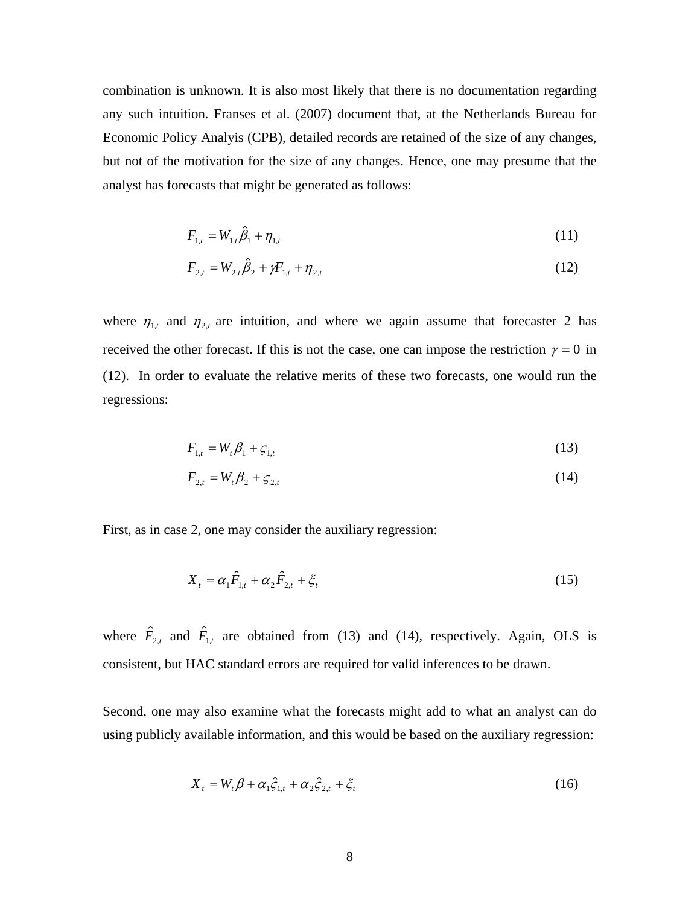combination is unknown. It is also most likely that there is no documentation regarding any such intuition. Franses et al. (2007) document that, at the Netherlands Bureau for Economic Policy Analyis (CPB), detailed records are retained of the size of any changes, but not of the motivation for the size of any changes. Hence, one may presume that the analyst has forecasts that might be generated as follows:

$$
F_{1,t} = W_{1,t} \hat{\beta}_1 + \eta_{1,t} \tag{11}
$$

$$
F_{2,t} = W_{2,t} \hat{\beta}_2 + \gamma F_{1,t} + \eta_{2,t} \tag{12}
$$

where  $\eta_{1,t}$  and  $\eta_{2,t}$  are intuition, and where we again assume that forecaster 2 has received the other forecast. If this is not the case, one can impose the restriction  $\gamma = 0$  in (12). In order to evaluate the relative merits of these two forecasts, one would run the regressions:

$$
F_{1,t} = W_t \beta_1 + \zeta_{1,t} \tag{13}
$$

$$
F_{2,t} = W_t \beta_2 + \zeta_{2,t} \tag{14}
$$

First, as in case 2, one may consider the auxiliary regression:

$$
X_{t} = \alpha_{1}\hat{F}_{1,t} + \alpha_{2}\hat{F}_{2,t} + \xi_{t}
$$
\n(15)

where  $\hat{F}_{2,t}$  and  $\hat{F}_{1,t}$  are obtained from (13) and (14), respectively. Again, OLS is consistent, but HAC standard errors are required for valid inferences to be drawn.

Second, one may also examine what the forecasts might add to what an analyst can do using publicly available information, and this would be based on the auxiliary regression:

$$
X_{t} = W_{t}\beta + \alpha_{1}\hat{\zeta}_{1,t} + \alpha_{2}\hat{\zeta}_{2,t} + \xi_{t}
$$
 (16)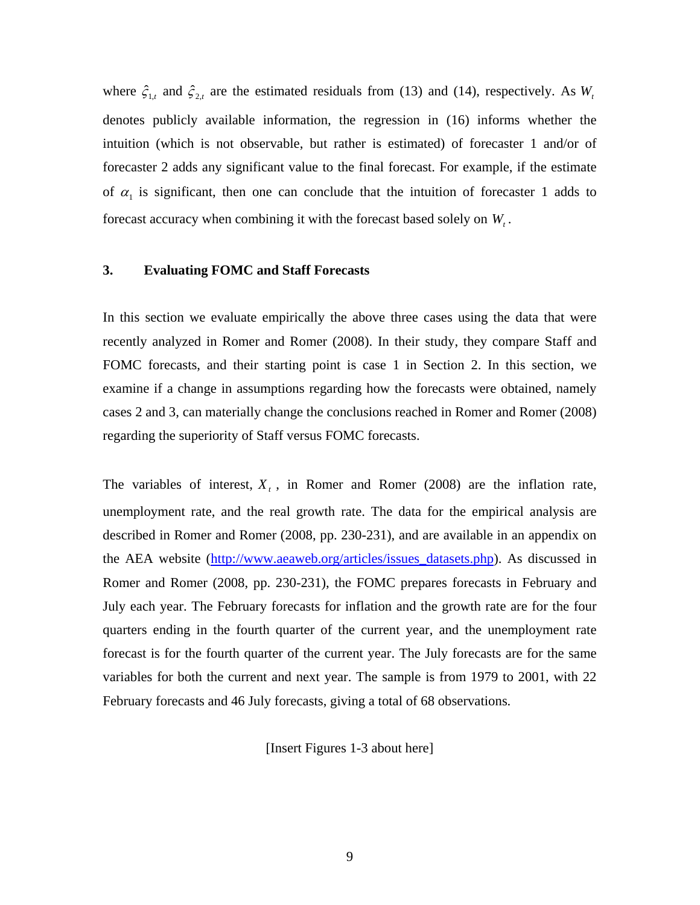where  $\hat{\zeta}_{1,t}$  and  $\hat{\zeta}_{2,t}$  are the estimated residuals from (13) and (14), respectively. As  $W_t$ denotes publicly available information, the regression in (16) informs whether the intuition (which is not observable, but rather is estimated) of forecaster 1 and/or of forecaster 2 adds any significant value to the final forecast. For example, if the estimate of  $\alpha_1$  is significant, then one can conclude that the intuition of forecaster 1 adds to forecast accuracy when combining it with the forecast based solely on  $W_t$ .

### **3. Evaluating FOMC and Staff Forecasts**

In this section we evaluate empirically the above three cases using the data that were recently analyzed in Romer and Romer (2008). In their study, they compare Staff and FOMC forecasts, and their starting point is case 1 in Section 2. In this section, we examine if a change in assumptions regarding how the forecasts were obtained, namely cases 2 and 3, can materially change the conclusions reached in Romer and Romer (2008) regarding the superiority of Staff versus FOMC forecasts.

The variables of interest,  $X_t$ , in Romer and Romer (2008) are the inflation rate, unemployment rate, and the real growth rate. The data for the empirical analysis are described in Romer and Romer (2008, pp. 230-231), and are available in an appendix on the AEA website (http://www.aeaweb.org/articles/issues\_datasets.php). As discussed in Romer and Romer (2008, pp. 230-231), the FOMC prepares forecasts in February and July each year. The February forecasts for inflation and the growth rate are for the four quarters ending in the fourth quarter of the current year, and the unemployment rate forecast is for the fourth quarter of the current year. The July forecasts are for the same variables for both the current and next year. The sample is from 1979 to 2001, with 22 February forecasts and 46 July forecasts, giving a total of 68 observations.

[Insert Figures 1-3 about here]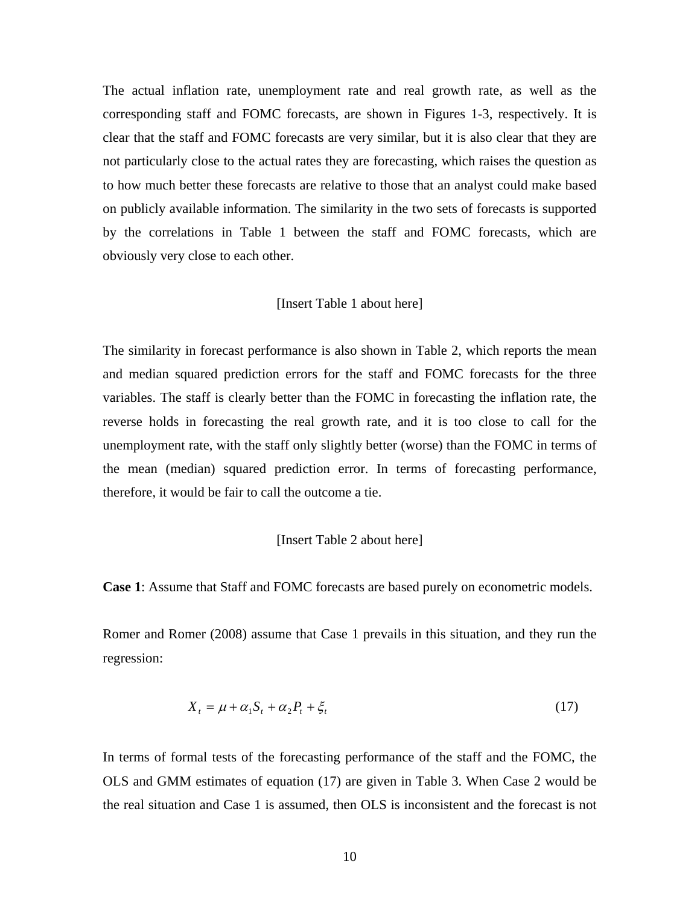The actual inflation rate, unemployment rate and real growth rate, as well as the corresponding staff and FOMC forecasts, are shown in Figures 1-3, respectively. It is clear that the staff and FOMC forecasts are very similar, but it is also clear that they are not particularly close to the actual rates they are forecasting, which raises the question as to how much better these forecasts are relative to those that an analyst could make based on publicly available information. The similarity in the two sets of forecasts is supported by the correlations in Table 1 between the staff and FOMC forecasts, which are obviously very close to each other.

### [Insert Table 1 about here]

The similarity in forecast performance is also shown in Table 2, which reports the mean and median squared prediction errors for the staff and FOMC forecasts for the three variables. The staff is clearly better than the FOMC in forecasting the inflation rate, the reverse holds in forecasting the real growth rate, and it is too close to call for the unemployment rate, with the staff only slightly better (worse) than the FOMC in terms of the mean (median) squared prediction error. In terms of forecasting performance, therefore, it would be fair to call the outcome a tie.

### [Insert Table 2 about here]

**Case 1**: Assume that Staff and FOMC forecasts are based purely on econometric models.

Romer and Romer (2008) assume that Case 1 prevails in this situation, and they run the regression:

$$
X_t = \mu + \alpha_1 S_t + \alpha_2 P_t + \xi_t \tag{17}
$$

In terms of formal tests of the forecasting performance of the staff and the FOMC, the OLS and GMM estimates of equation (17) are given in Table 3. When Case 2 would be the real situation and Case 1 is assumed, then OLS is inconsistent and the forecast is not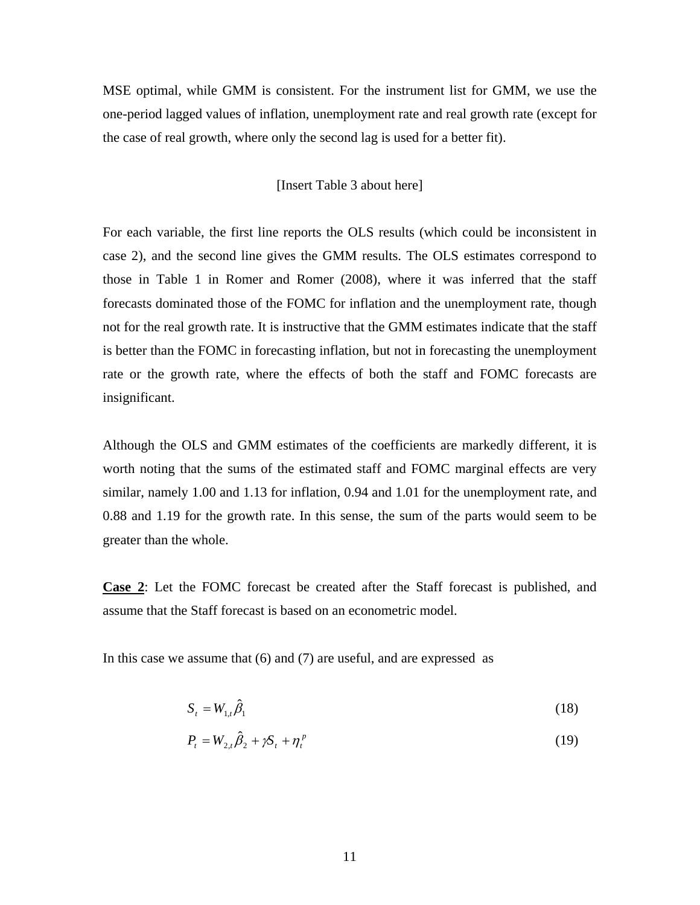MSE optimal, while GMM is consistent. For the instrument list for GMM, we use the one-period lagged values of inflation, unemployment rate and real growth rate (except for the case of real growth, where only the second lag is used for a better fit).

### [Insert Table 3 about here]

For each variable, the first line reports the OLS results (which could be inconsistent in case 2), and the second line gives the GMM results. The OLS estimates correspond to those in Table 1 in Romer and Romer (2008), where it was inferred that the staff forecasts dominated those of the FOMC for inflation and the unemployment rate, though not for the real growth rate. It is instructive that the GMM estimates indicate that the staff is better than the FOMC in forecasting inflation, but not in forecasting the unemployment rate or the growth rate, where the effects of both the staff and FOMC forecasts are insignificant.

Although the OLS and GMM estimates of the coefficients are markedly different, it is worth noting that the sums of the estimated staff and FOMC marginal effects are very similar, namely 1.00 and 1.13 for inflation, 0.94 and 1.01 for the unemployment rate, and 0.88 and 1.19 for the growth rate. In this sense, the sum of the parts would seem to be greater than the whole.

**Case 2**: Let the FOMC forecast be created after the Staff forecast is published, and assume that the Staff forecast is based on an econometric model.

In this case we assume that (6) and (7) are useful, and are expressed as

$$
S_t = W_{1,t} \hat{\beta}_1 \tag{18}
$$

$$
P_{t} = W_{2,t} \hat{\beta}_{2} + \gamma S_{t} + \eta_{t}^{p}
$$
\n(19)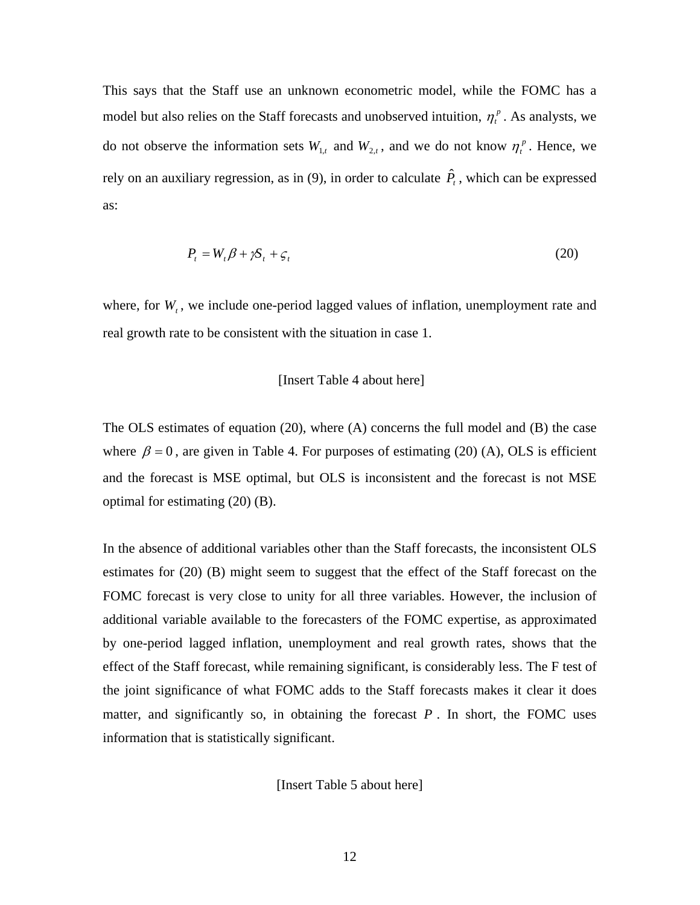This says that the Staff use an unknown econometric model, while the FOMC has a model but also relies on the Staff forecasts and unobserved intuition,  $\eta_t^p$ . As analysts, we do not observe the information sets  $W_{1,t}$  and  $W_{2,t}$ , and we do not know  $\eta_t^p$ . Hence, we rely on an auxiliary regression, as in (9), in order to calculate  $\hat{P}_t$ , which can be expressed as:

$$
P_t = W_t \beta + \gamma S_t + \varsigma_t \tag{20}
$$

where, for  $W_t$ , we include one-period lagged values of inflation, unemployment rate and real growth rate to be consistent with the situation in case 1.

### [Insert Table 4 about here]

The OLS estimates of equation (20), where (A) concerns the full model and (B) the case where  $\beta = 0$ , are given in Table 4. For purposes of estimating (20) (A), OLS is efficient and the forecast is MSE optimal, but OLS is inconsistent and the forecast is not MSE optimal for estimating (20) (B).

In the absence of additional variables other than the Staff forecasts, the inconsistent OLS estimates for (20) (B) might seem to suggest that the effect of the Staff forecast on the FOMC forecast is very close to unity for all three variables. However, the inclusion of additional variable available to the forecasters of the FOMC expertise, as approximated by one-period lagged inflation, unemployment and real growth rates, shows that the effect of the Staff forecast, while remaining significant, is considerably less. The F test of the joint significance of what FOMC adds to the Staff forecasts makes it clear it does matter, and significantly so, in obtaining the forecast  $P$ . In short, the FOMC uses information that is statistically significant.

[Insert Table 5 about here]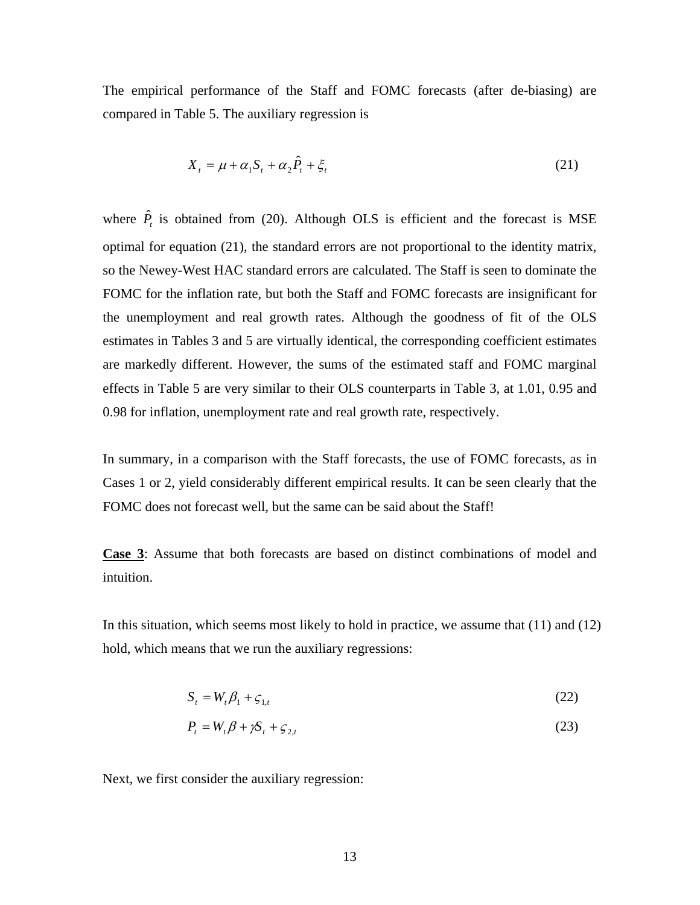The empirical performance of the Staff and FOMC forecasts (after de-biasing) are compared in Table 5. The auxiliary regression is

$$
X_t = \mu + \alpha_1 S_t + \alpha_2 \hat{P}_t + \xi_t \tag{21}
$$

where  $\hat{P}_t$  is obtained from (20). Although OLS is efficient and the forecast is MSE optimal for equation (21), the standard errors are not proportional to the identity matrix, so the Newey-West HAC standard errors are calculated. The Staff is seen to dominate the FOMC for the inflation rate, but both the Staff and FOMC forecasts are insignificant for the unemployment and real growth rates. Although the goodness of fit of the OLS estimates in Tables 3 and 5 are virtually identical, the corresponding coefficient estimates are markedly different. However, the sums of the estimated staff and FOMC marginal effects in Table 5 are very similar to their OLS counterparts in Table 3, at 1.01, 0.95 and 0.98 for inflation, unemployment rate and real growth rate, respectively.

In summary, in a comparison with the Staff forecasts, the use of FOMC forecasts, as in Cases 1 or 2, yield considerably different empirical results. It can be seen clearly that the FOMC does not forecast well, but the same can be said about the Staff!

**Case 3**: Assume that both forecasts are based on distinct combinations of model and intuition.

In this situation, which seems most likely to hold in practice, we assume that (11) and (12) hold, which means that we run the auxiliary regressions:

$$
S_t = W_t \beta_1 + \varsigma_{1,t} \tag{22}
$$

$$
P_t = W_t \beta + \gamma S_t + \varsigma_{2,t} \tag{23}
$$

Next, we first consider the auxiliary regression: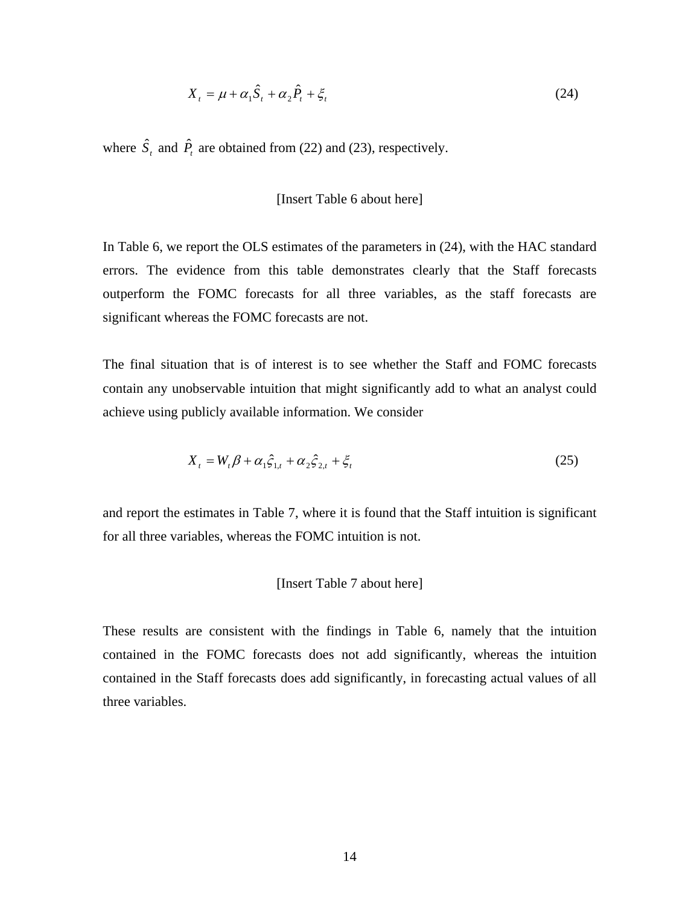$$
X_t = \mu + \alpha_1 \hat{S}_t + \alpha_2 \hat{P}_t + \xi_t
$$
\n<sup>(24)</sup>

where  $\hat{S}_t$  and  $\hat{P}_t$  are obtained from (22) and (23), respectively.

#### [Insert Table 6 about here]

In Table 6, we report the OLS estimates of the parameters in (24), with the HAC standard errors. The evidence from this table demonstrates clearly that the Staff forecasts outperform the FOMC forecasts for all three variables, as the staff forecasts are significant whereas the FOMC forecasts are not.

The final situation that is of interest is to see whether the Staff and FOMC forecasts contain any unobservable intuition that might significantly add to what an analyst could achieve using publicly available information. We consider

$$
X_{t} = W_{t} \beta + \alpha_{1} \hat{\zeta}_{1,t} + \alpha_{2} \hat{\zeta}_{2,t} + \xi_{t}
$$
 (25)

and report the estimates in Table 7, where it is found that the Staff intuition is significant for all three variables, whereas the FOMC intuition is not.

### [Insert Table 7 about here]

These results are consistent with the findings in Table 6, namely that the intuition contained in the FOMC forecasts does not add significantly, whereas the intuition contained in the Staff forecasts does add significantly, in forecasting actual values of all three variables.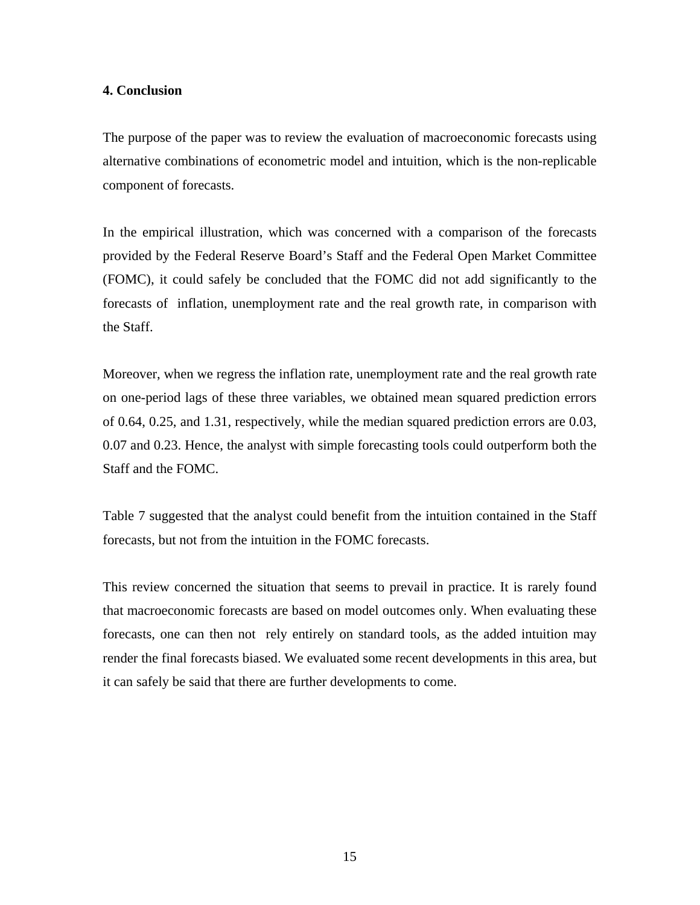#### **4. Conclusion**

The purpose of the paper was to review the evaluation of macroeconomic forecasts using alternative combinations of econometric model and intuition, which is the non-replicable component of forecasts.

In the empirical illustration, which was concerned with a comparison of the forecasts provided by the Federal Reserve Board's Staff and the Federal Open Market Committee (FOMC), it could safely be concluded that the FOMC did not add significantly to the forecasts of inflation, unemployment rate and the real growth rate, in comparison with the Staff.

Moreover, when we regress the inflation rate, unemployment rate and the real growth rate on one-period lags of these three variables, we obtained mean squared prediction errors of 0.64, 0.25, and 1.31, respectively, while the median squared prediction errors are 0.03, 0.07 and 0.23. Hence, the analyst with simple forecasting tools could outperform both the Staff and the FOMC.

Table 7 suggested that the analyst could benefit from the intuition contained in the Staff forecasts, but not from the intuition in the FOMC forecasts.

This review concerned the situation that seems to prevail in practice. It is rarely found that macroeconomic forecasts are based on model outcomes only. When evaluating these forecasts, one can then not rely entirely on standard tools, as the added intuition may render the final forecasts biased. We evaluated some recent developments in this area, but it can safely be said that there are further developments to come.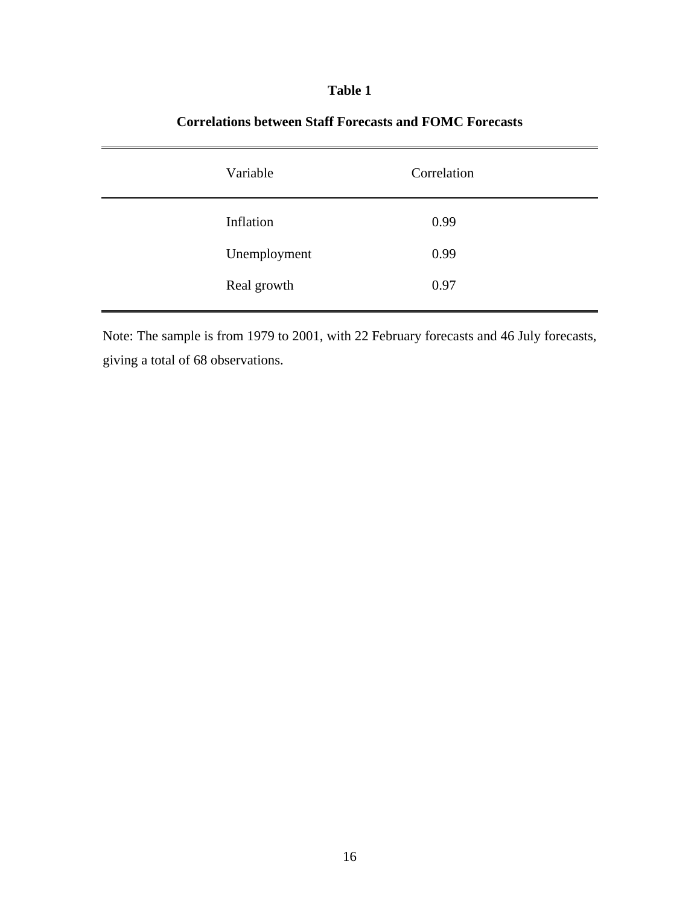# **Table 1**

| Variable  |              | Correlation  |  |
|-----------|--------------|--------------|--|
| Inflation | Unemployment | 0.99<br>0.99 |  |
|           | Real growth  | 0.97         |  |

# **Correlations between Staff Forecasts and FOMC Forecasts**

Note: The sample is from 1979 to 2001, with 22 February forecasts and 46 July forecasts, giving a total of 68 observations.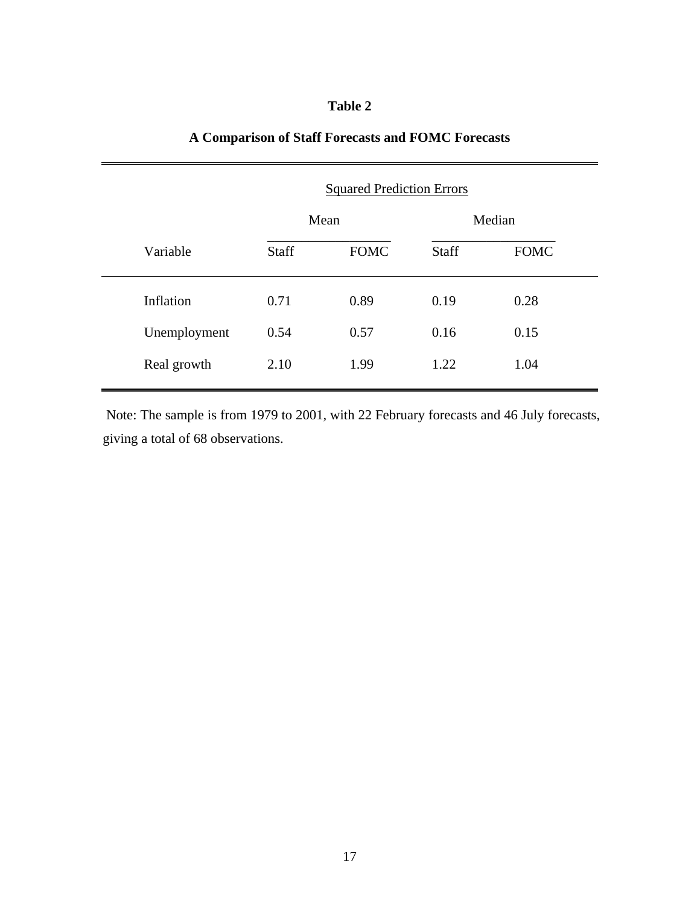# **Table 2**

|              | <b>Squared Prediction Errors</b> |             |              |             |  |
|--------------|----------------------------------|-------------|--------------|-------------|--|
|              | Mean                             |             | Median       |             |  |
| Variable     | <b>Staff</b>                     | <b>FOMC</b> | <b>Staff</b> | <b>FOMC</b> |  |
| Inflation    | 0.71                             | 0.89        | 0.19         | 0.28        |  |
| Unemployment | 0.54                             | 0.57        | 0.16         | 0.15        |  |
| Real growth  | 2.10                             | 1.99        | 1.22         | 1.04        |  |

# **A Comparison of Staff Forecasts and FOMC Forecasts**

 Note: The sample is from 1979 to 2001, with 22 February forecasts and 46 July forecasts, giving a total of 68 observations.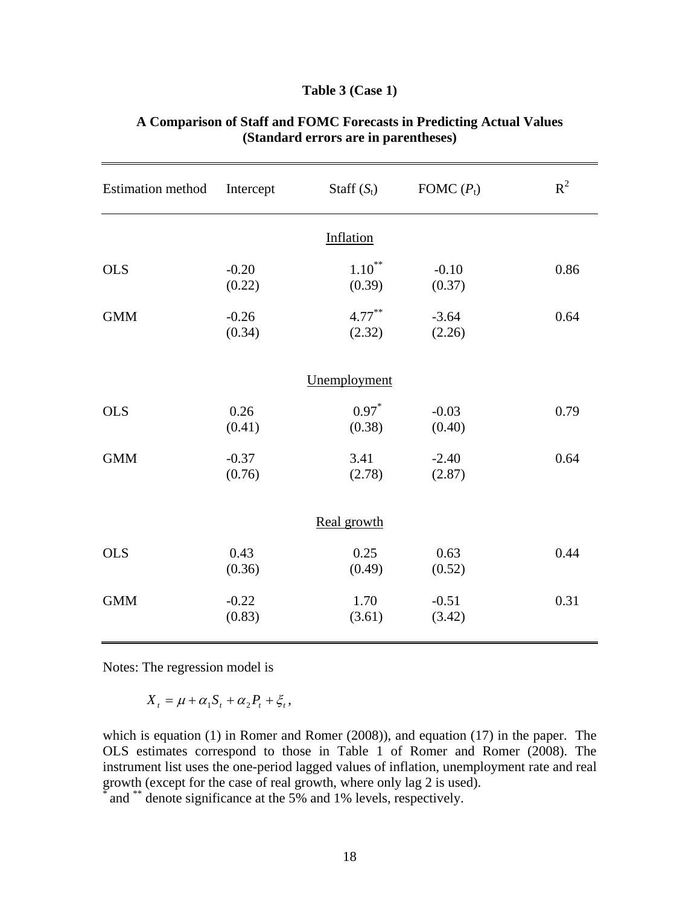### **Table 3 (Case 1)**

| Estimation method | Intercept         | Staff $(S_t)$       | FOMC $(P_t)$      | $R^2$ |
|-------------------|-------------------|---------------------|-------------------|-------|
|                   |                   | Inflation           |                   |       |
| <b>OLS</b>        | $-0.20$<br>(0.22) | $1.10***$<br>(0.39) | $-0.10$<br>(0.37) | 0.86  |
| <b>GMM</b>        | $-0.26$<br>(0.34) | $4.77***$<br>(2.32) | $-3.64$<br>(2.26) | 0.64  |
|                   |                   | Unemployment        |                   |       |
| <b>OLS</b>        | 0.26<br>(0.41)    | $0.97*$<br>(0.38)   | $-0.03$<br>(0.40) | 0.79  |
| <b>GMM</b>        | $-0.37$<br>(0.76) | 3.41<br>(2.78)      | $-2.40$<br>(2.87) | 0.64  |
|                   |                   | Real growth         |                   |       |
| <b>OLS</b>        | 0.43<br>(0.36)    | 0.25<br>(0.49)      | 0.63<br>(0.52)    | 0.44  |
| <b>GMM</b>        | $-0.22$<br>(0.83) | 1.70<br>(3.61)      | $-0.51$<br>(3.42) | 0.31  |

### **A Comparison of Staff and FOMC Forecasts in Predicting Actual Values (Standard errors are in parentheses)**

Notes: The regression model is

 $X_t = \mu + \alpha_1 S_t + \alpha_2 P_t + \xi_t$ 

which is equation (1) in Romer and Romer (2008)), and equation (17) in the paper. The OLS estimates correspond to those in Table 1 of Romer and Romer (2008). The instrument list uses the one-period lagged values of inflation, unemployment rate and real growth (except for the case of real growth, where only lag 2 is used).

and <sup>\*\*</sup> denote significance at the 5% and 1% levels, respectively.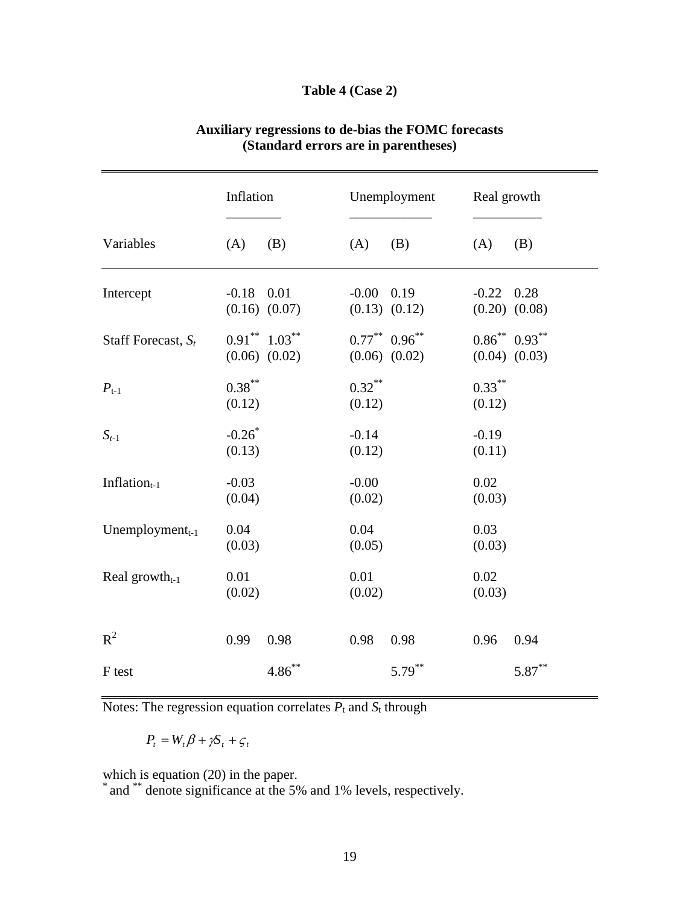# **Table 4 (Case 2)**

|                       | Inflation                             |           |                                       | Unemployment | Real growth                                  |           |
|-----------------------|---------------------------------------|-----------|---------------------------------------|--------------|----------------------------------------------|-----------|
| Variables             | (A)                                   | (B)       | (A)                                   | (B)          | (A)                                          | (B)       |
| Intercept             | $-0.18$ 0.01<br>$(0.16)$ $(0.07)$     |           | $-0.00$ 0.19<br>$(0.13)$ $(0.12)$     |              | $-0.22$ 0.28<br>$(0.20)$ $(0.08)$            |           |
| Staff Forecast, $S_t$ | $0.91***1.03***$<br>$(0.06)$ $(0.02)$ |           | $0.77***$ 0.96**<br>$(0.06)$ $(0.02)$ |              | $0.86^{**}$ $0.93^{**}$<br>$(0.04)$ $(0.03)$ |           |
| $P_{t-1}$             | $0.38***$<br>(0.12)                   |           | $0.32***$<br>(0.12)                   |              | $0.33***$<br>(0.12)                          |           |
| $S_{t-1}$             | $-0.26$ *<br>(0.13)                   |           | $-0.14$<br>(0.12)                     |              | $-0.19$<br>(0.11)                            |           |
| Inflation $_{t-1}$    | $-0.03$<br>(0.04)                     |           | $-0.00$<br>(0.02)                     |              | 0.02<br>(0.03)                               |           |
| Unemployment $_{t-1}$ | 0.04<br>(0.03)                        |           | 0.04<br>(0.05)                        |              | 0.03<br>(0.03)                               |           |
| Real growth $_{t-1}$  | 0.01<br>(0.02)                        |           | 0.01<br>(0.02)                        |              | 0.02<br>(0.03)                               |           |
| $R^2$                 | 0.99                                  | 0.98      | 0.98                                  | 0.98         | 0.96                                         | 0.94      |
| F test                |                                       | $4.86***$ |                                       | $5.79***$    |                                              | $5.87***$ |

## **Auxiliary regressions to de-bias the FOMC forecasts (Standard errors are in parentheses)**

Notes: The regression equation correlates  $P_t$  and  $S_t$  through

 $P_t = W_t \beta + \gamma S_t + \varsigma_t$ 

which is equation (20) in the paper.

\* and \*\* denote significance at the 5% and 1% levels, respectively.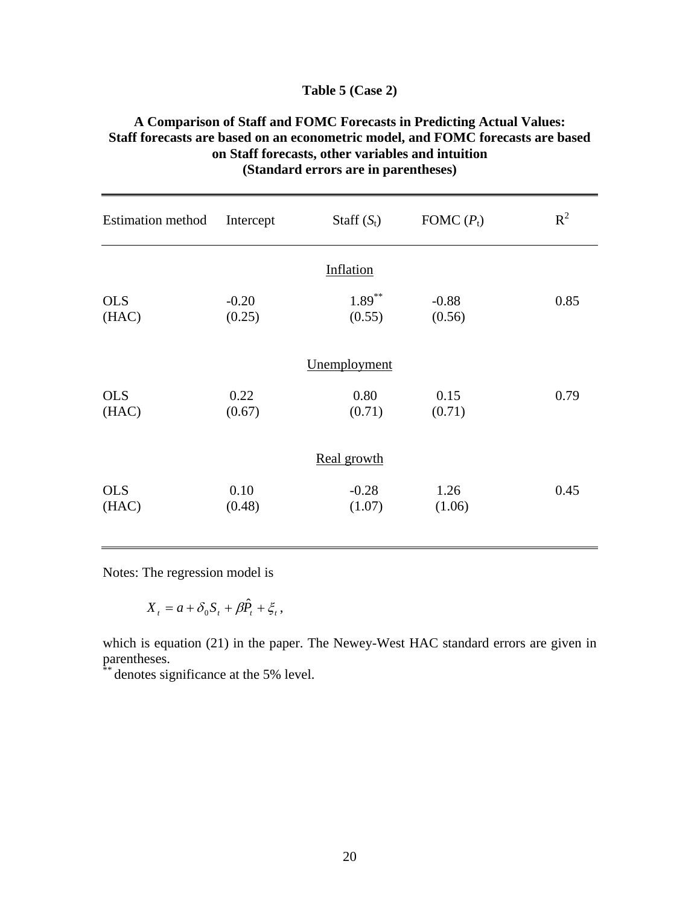### **Table 5 (Case 2)**

### **A Comparison of Staff and FOMC Forecasts in Predicting Actual Values: Staff forecasts are based on an econometric model, and FOMC forecasts are based on Staff forecasts, other variables and intuition (Standard errors are in parentheses)**

| Estimation method   | Intercept         | Staff $(S_t)$       | FOMC $(P_t)$      | $R^2$ |
|---------------------|-------------------|---------------------|-------------------|-------|
|                     |                   | Inflation           |                   |       |
| <b>OLS</b><br>(HAC) | $-0.20$<br>(0.25) | $1.89***$<br>(0.55) | $-0.88$<br>(0.56) | 0.85  |
|                     |                   | Unemployment        |                   |       |
| <b>OLS</b><br>(HAC) | 0.22<br>(0.67)    | 0.80<br>(0.71)      | 0.15<br>(0.71)    | 0.79  |
|                     |                   | Real growth         |                   |       |
| <b>OLS</b><br>(HAC) | 0.10<br>(0.48)    | $-0.28$<br>(1.07)   | 1.26<br>(1.06)    | 0.45  |

Notes: The regression model is

$$
X_t = a + \delta_0 S_t + \beta \hat{P}_t + \xi_t,
$$

which is equation (21) in the paper. The Newey-West HAC standard errors are given in parentheses.

denotes significance at the 5% level.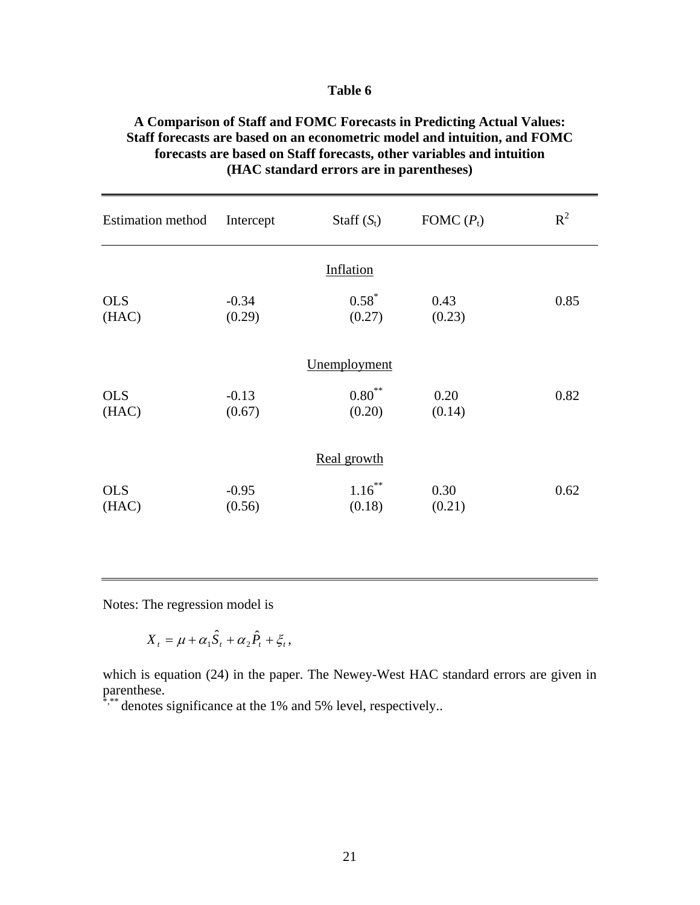### **Table 6**

### **A Comparison of Staff and FOMC Forecasts in Predicting Actual Values: Staff forecasts are based on an econometric model and intuition, and FOMC forecasts are based on Staff forecasts, other variables and intuition (HAC standard errors are in parentheses)**

| <b>Estimation method</b> | Intercept         | Staff $(S_t)$         | FOMC $(P_t)$   | $R^2$ |
|--------------------------|-------------------|-----------------------|----------------|-------|
|                          |                   | Inflation             |                |       |
| <b>OLS</b><br>(HAC)      | $-0.34$<br>(0.29) | $0.58^*$<br>(0.27)    | 0.43<br>(0.23) | 0.85  |
|                          |                   | Unemployment          |                |       |
| <b>OLS</b><br>(HAC)      | $-0.13$<br>(0.67) | $0.80^{**}$<br>(0.20) | 0.20<br>(0.14) | 0.82  |
|                          |                   | Real growth           |                |       |
| <b>OLS</b><br>(HAC)      | $-0.95$<br>(0.56) | $1.16$ **<br>(0.18)   | 0.30<br>(0.21) | 0.62  |

Notes: The regression model is

$$
X_t = \mu + \alpha_1 \hat{S}_t + \alpha_2 \hat{P}_t + \xi_t,
$$

which is equation (24) in the paper. The Newey-West HAC standard errors are given in parenthese.

\*\*\*\* denotes significance at the 1% and 5% level, respectively..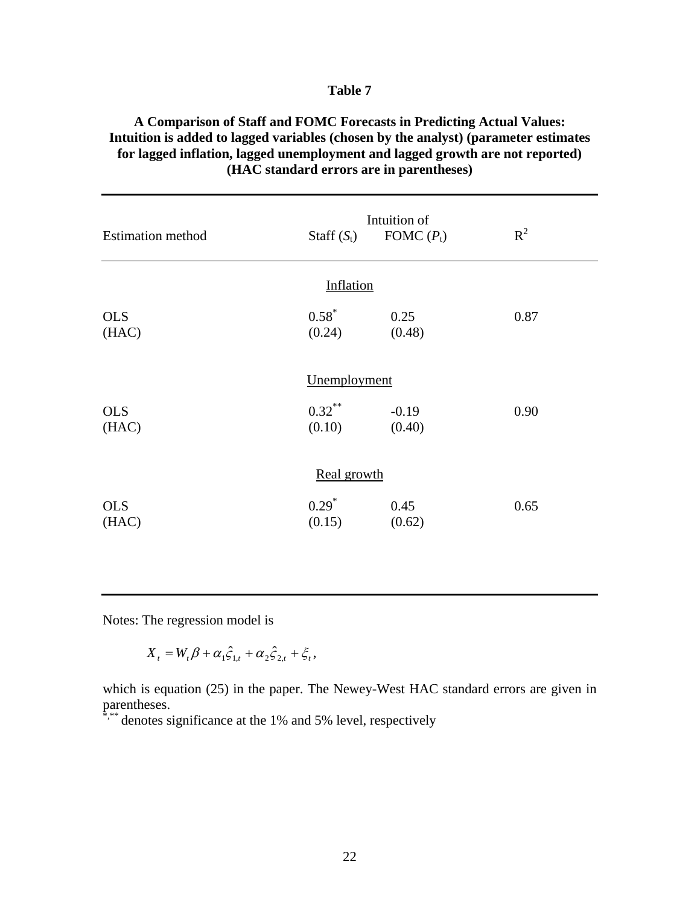| × | Ш |  |
|---|---|--|
|---|---|--|

## **A Comparison of Staff and FOMC Forecasts in Predicting Actual Values: Intuition is added to lagged variables (chosen by the analyst) (parameter estimates for lagged inflation, lagged unemployment and lagged growth are not reported) (HAC standard errors are in parentheses)**

| <b>Estimation method</b> | Staff $(S_t)$        | Intuition of<br>FOMC $(P_t)$ | $R^2$ |  |  |
|--------------------------|----------------------|------------------------------|-------|--|--|
|                          |                      |                              |       |  |  |
|                          | Inflation            |                              |       |  |  |
| <b>OLS</b><br>(HAC)      | $0.58^*$<br>(0.24)   | 0.25<br>(0.48)               | 0.87  |  |  |
|                          | Unemployment         |                              |       |  |  |
| <b>OLS</b><br>(HAC)      | $0.32***$<br>(0.10)  | $-0.19$<br>(0.40)            | 0.90  |  |  |
| Real growth              |                      |                              |       |  |  |
| <b>OLS</b><br>(HAC)      | $0.29^{*}$<br>(0.15) | 0.45<br>(0.62)               | 0.65  |  |  |

Notes: The regression model is

$$
X_{t} = W_{t} \beta + \alpha_{1} \hat{\zeta}_{1,t} + \alpha_{2} \hat{\zeta}_{2,t} + \xi_{t},
$$

which is equation (25) in the paper. The Newey-West HAC standard errors are given in parentheses.

\*\*\*\* denotes significance at the 1% and 5% level, respectively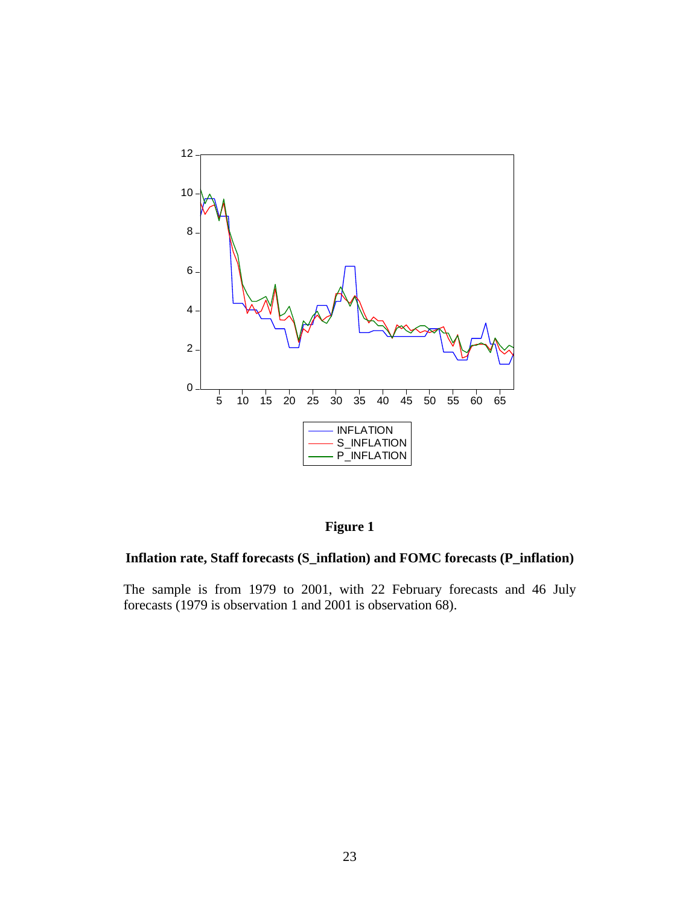

### **Figure 1**

### **Inflation rate, Staff forecasts (S\_inflation) and FOMC forecasts (P\_inflation)**

The sample is from 1979 to 2001, with 22 February forecasts and 46 July forecasts (1979 is observation 1 and 2001 is observation 68).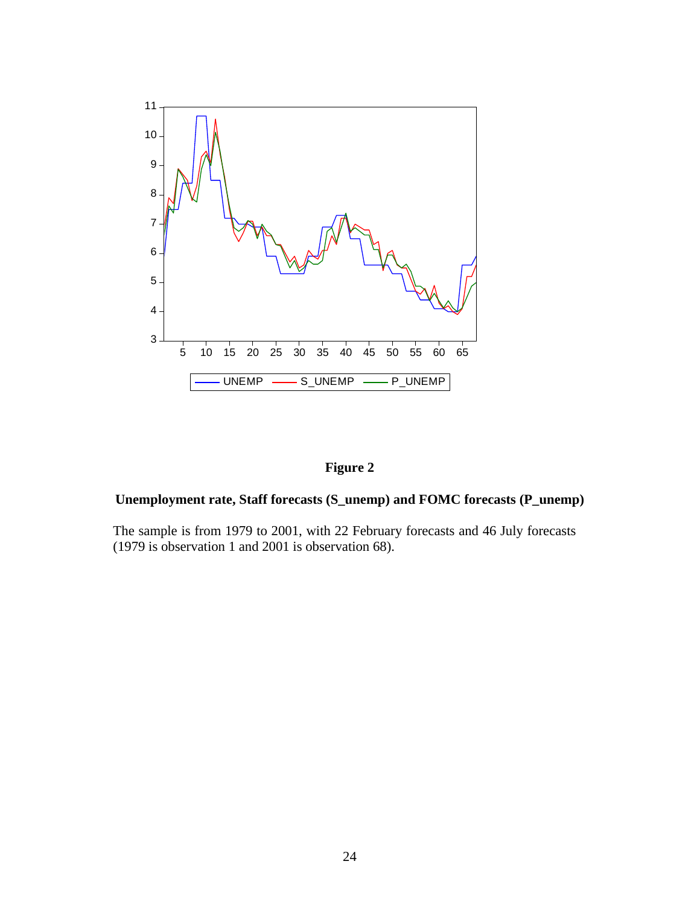

# **Figure 2**

# **Unemployment rate, Staff forecasts (S\_unemp) and FOMC forecasts (P\_unemp)**

The sample is from 1979 to 2001, with 22 February forecasts and 46 July forecasts (1979 is observation 1 and 2001 is observation 68).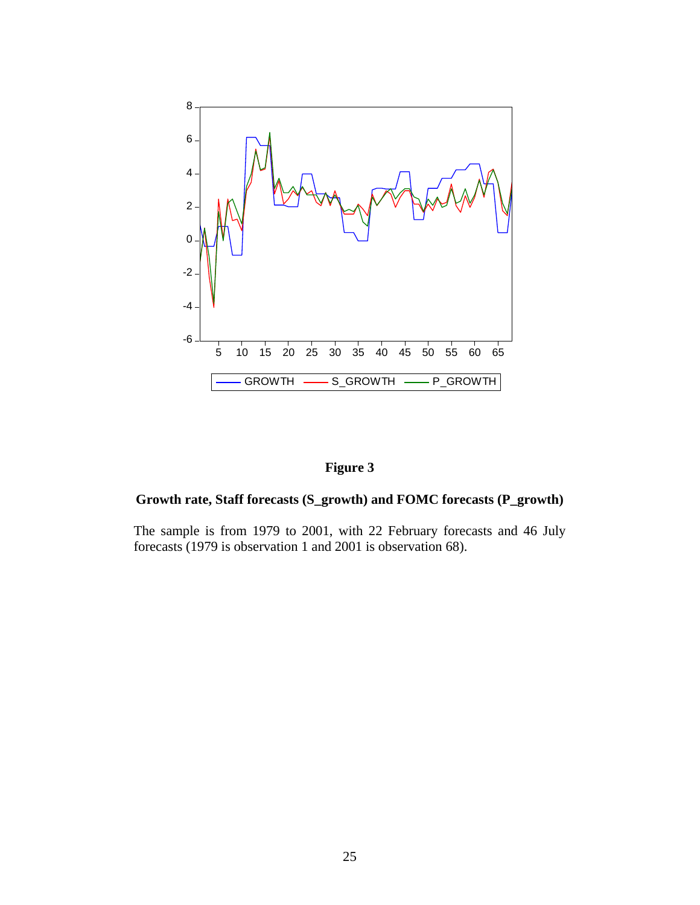

# **Figure 3**

# **Growth rate, Staff forecasts (S\_growth) and FOMC forecasts (P\_growth)**

The sample is from 1979 to 2001, with 22 February forecasts and 46 July forecasts (1979 is observation 1 and 2001 is observation 68).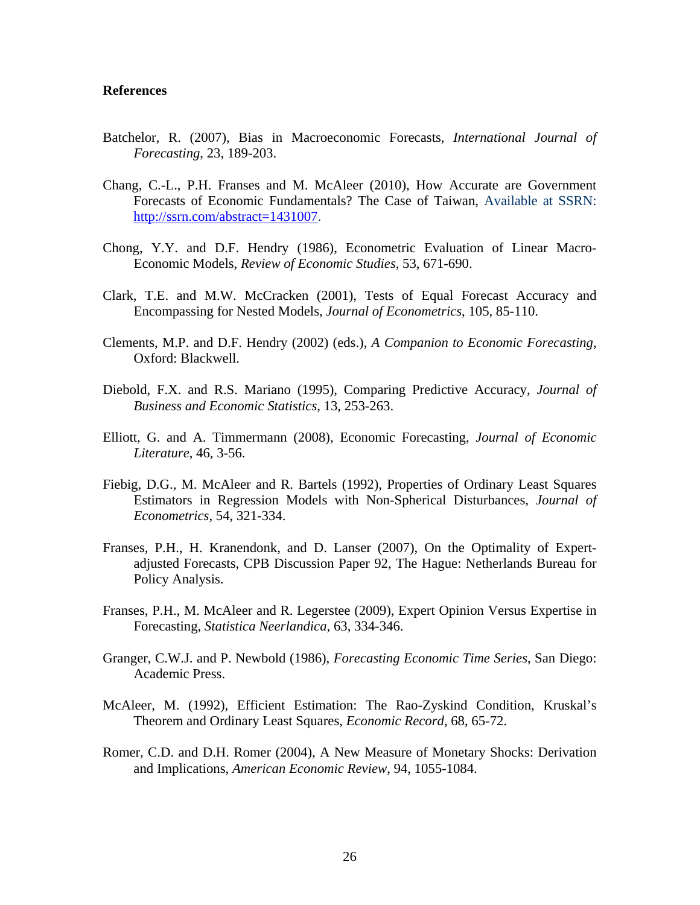### **References**

- Batchelor, R. (2007), Bias in Macroeconomic Forecasts, *International Journal of Forecasting*, 23, 189-203.
- Chang, C.-L., P.H. Franses and M. McAleer (2010), How Accurate are Government Forecasts of Economic Fundamentals? The Case of Taiwan, Available at SSRN: http://ssrn.com/abstract=1431007.
- Chong, Y.Y. and D.F. Hendry (1986), Econometric Evaluation of Linear Macro-Economic Models, *Review of Economic Studies*, 53, 671-690.
- Clark, T.E. and M.W. McCracken (2001), Tests of Equal Forecast Accuracy and Encompassing for Nested Models, *Journal of Econometrics*, 105, 85-110.
- Clements, M.P. and D.F. Hendry (2002) (eds.), *A Companion to Economic Forecasting*, Oxford: Blackwell.
- Diebold, F.X. and R.S. Mariano (1995), Comparing Predictive Accuracy, *Journal of Business and Economic Statistics*, 13, 253-263.
- Elliott, G. and A. Timmermann (2008), Economic Forecasting, *Journal of Economic Literature*, 46, 3-56.
- Fiebig, D.G., M. McAleer and R. Bartels (1992), Properties of Ordinary Least Squares Estimators in Regression Models with Non-Spherical Disturbances, *Journal of Econometrics*, 54, 321-334.
- Franses, P.H., H. Kranendonk, and D. Lanser (2007), On the Optimality of Expertadjusted Forecasts, CPB Discussion Paper 92, The Hague: Netherlands Bureau for Policy Analysis.
- Franses, P.H., M. McAleer and R. Legerstee (2009), Expert Opinion Versus Expertise in Forecasting, *Statistica Neerlandica*, 63, 334-346.
- Granger, C.W.J. and P. Newbold (1986), *Forecasting Economic Time Series*, San Diego: Academic Press.
- McAleer, M. (1992), Efficient Estimation: The Rao-Zyskind Condition, Kruskal's Theorem and Ordinary Least Squares, *Economic Record*, 68, 65-72.
- Romer, C.D. and D.H. Romer (2004), A New Measure of Monetary Shocks: Derivation and Implications, *American Economic Review*, 94, 1055-1084.